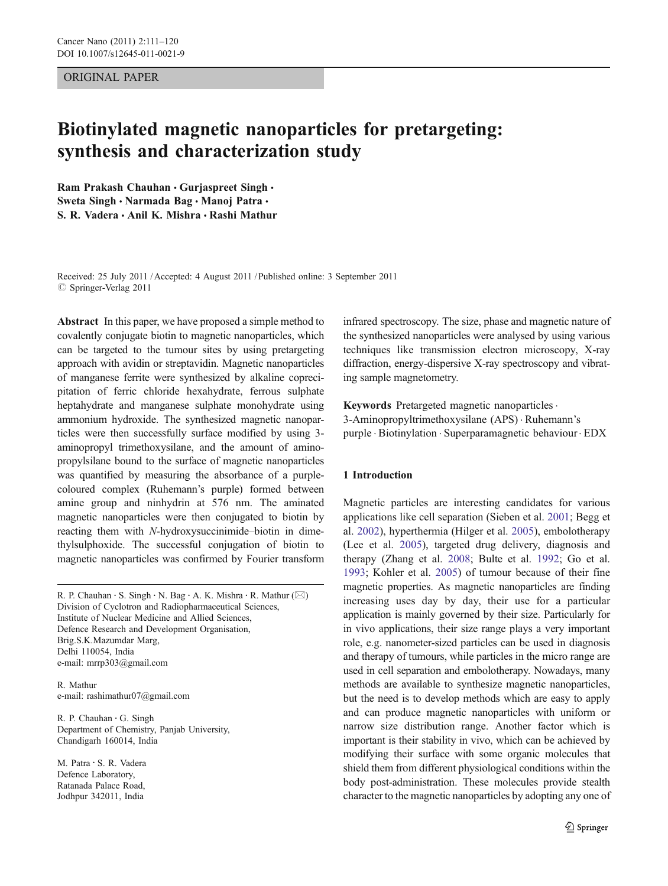## ORIGINAL PAPER

# Biotinylated magnetic nanoparticles for pretargeting: synthesis and characterization study

Ram Prakash Chauhan · Gurjaspreet Singh · Sweta Singh · Narmada Bag · Manoj Patra · S. R. Vadera & Anil K. Mishra & Rashi Mathur

Received: 25 July 2011 /Accepted: 4 August 2011 / Published online: 3 September 2011  $©$  Springer-Verlag 2011

Abstract In this paper, we have proposed a simple method to covalently conjugate biotin to magnetic nanoparticles, which can be targeted to the tumour sites by using pretargeting approach with avidin or streptavidin. Magnetic nanoparticles of manganese ferrite were synthesized by alkaline coprecipitation of ferric chloride hexahydrate, ferrous sulphate heptahydrate and manganese sulphate monohydrate using ammonium hydroxide. The synthesized magnetic nanoparticles were then successfully surface modified by using 3 aminopropyl trimethoxysilane, and the amount of aminopropylsilane bound to the surface of magnetic nanoparticles was quantified by measuring the absorbance of a purplecoloured complex (Ruhemann's purple) formed between amine group and ninhydrin at 576 nm. The aminated magnetic nanoparticles were then conjugated to biotin by reacting them with N-hydroxysuccinimide–biotin in dimethylsulphoxide. The successful conjugation of biotin to magnetic nanoparticles was confirmed by Fourier transform

R. P. Chauhan · S. Singh · N. Bag · A. K. Mishra · R. Mathur ( $\boxtimes$ ) Division of Cyclotron and Radiopharmaceutical Sciences, Institute of Nuclear Medicine and Allied Sciences, Defence Research and Development Organisation, Brig.S.K.Mazumdar Marg, Delhi 110054, India e-mail: mrrp303@gmail.com

R. Mathur e-mail: rashimathur07@gmail.com

R. P. Chauhan : G. Singh Department of Chemistry, Panjab University, Chandigarh 160014, India

M. Patra : S. R. Vadera Defence Laboratory, Ratanada Palace Road, Jodhpur 342011, India

infrared spectroscopy. The size, phase and magnetic nature of the synthesized nanoparticles were analysed by using various techniques like transmission electron microscopy, X-ray diffraction, energy-dispersive X-ray spectroscopy and vibrating sample magnetometry.

Keywords Pretargeted magnetic nanoparticles . 3-Aminopropyltrimethoxysilane (APS) . Ruhemann's purple . Biotinylation . Superparamagnetic behaviour. EDX

### 1 Introduction

Magnetic particles are interesting candidates for various applications like cell separation (Sieben et al. [2001](#page-9-0); Begg et al. [2002\)](#page-8-0), hyperthermia (Hilger et al. [2005](#page-8-0)), embolotherapy (Lee et al. [2005](#page-9-0)), targeted drug delivery, diagnosis and therapy (Zhang et al. [2008;](#page-9-0) Bulte et al. [1992;](#page-8-0) Go et al. [1993](#page-8-0); Kohler et al. [2005](#page-9-0)) of tumour because of their fine magnetic properties. As magnetic nanoparticles are finding increasing uses day by day, their use for a particular application is mainly governed by their size. Particularly for in vivo applications, their size range plays a very important role, e.g. nanometer-sized particles can be used in diagnosis and therapy of tumours, while particles in the micro range are used in cell separation and embolotherapy. Nowadays, many methods are available to synthesize magnetic nanoparticles, but the need is to develop methods which are easy to apply and can produce magnetic nanoparticles with uniform or narrow size distribution range. Another factor which is important is their stability in vivo, which can be achieved by modifying their surface with some organic molecules that shield them from different physiological conditions within the body post-administration. These molecules provide stealth character to the magnetic nanoparticles by adopting any one of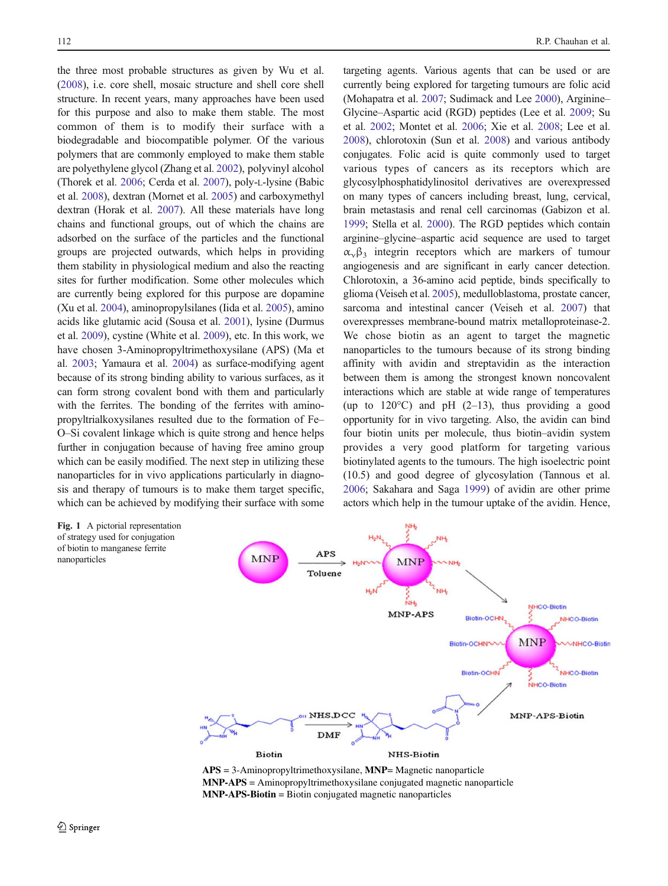<span id="page-1-0"></span>the three most probable structures as given by Wu et al. [\(2008\)](#page-9-0), i.e. core shell, mosaic structure and shell core shell structure. In recent years, many approaches have been used for this purpose and also to make them stable. The most common of them is to modify their surface with a biodegradable and biocompatible polymer. Of the various polymers that are commonly employed to make them stable are polyethylene glycol (Zhang et al. [2002\)](#page-9-0), polyvinyl alcohol (Thorek et al. [2006](#page-9-0); Cerda et al. [2007\)](#page-8-0), poly-L-lysine (Babic et al. [2008](#page-8-0)), dextran (Mornet et al. [2005](#page-9-0)) and carboxymethyl dextran (Horak et al. [2007\)](#page-8-0). All these materials have long chains and functional groups, out of which the chains are adsorbed on the surface of the particles and the functional groups are projected outwards, which helps in providing them stability in physiological medium and also the reacting sites for further modification. Some other molecules which are currently being explored for this purpose are dopamine (Xu et al. [2004](#page-9-0)), aminopropylsilanes (Iida et al. [2005\)](#page-9-0), amino acids like glutamic acid (Sousa et al. [2001\)](#page-9-0), lysine (Durmus et al. [2009](#page-8-0)), cystine (White et al. [2009\)](#page-9-0), etc. In this work, we have chosen 3-Aminopropyltrimethoxysilane (APS) (Ma et al. [2003;](#page-9-0) Yamaura et al. [2004](#page-9-0)) as surface-modifying agent because of its strong binding ability to various surfaces, as it can form strong covalent bond with them and particularly with the ferrites. The bonding of the ferrites with aminopropyltrialkoxysilanes resulted due to the formation of Fe– O–Si covalent linkage which is quite strong and hence helps further in conjugation because of having free amino group which can be easily modified. The next step in utilizing these nanoparticles for in vivo applications particularly in diagnosis and therapy of tumours is to make them target specific, which can be achieved by modifying their surface with some

targeting agents. Various agents that can be used or are currently being explored for targeting tumours are folic acid (Mohapatra et al. [2007;](#page-9-0) Sudimack and Lee [2000\)](#page-9-0), Arginine– Glycine–Aspartic acid (RGD) peptides (Lee et al. [2009;](#page-9-0) Su et al. [2002;](#page-9-0) Montet et al. [2006](#page-9-0); Xie et al. [2008](#page-9-0); Lee et al. [2008\)](#page-9-0), chlorotoxin (Sun et al. [2008\)](#page-9-0) and various antibody conjugates. Folic acid is quite commonly used to target various types of cancers as its receptors which are glycosylphosphatidylinositol derivatives are overexpressed on many types of cancers including breast, lung, cervical, brain metastasis and renal cell carcinomas (Gabizon et al. [1999;](#page-8-0) Stella et al. [2000](#page-9-0)). The RGD peptides which contain arginine–glycine–aspartic acid sequence are used to target  $\alpha_{\nu}\beta_3$  integrin receptors which are markers of tumour angiogenesis and are significant in early cancer detection. Chlorotoxin, a 36-amino acid peptide, binds specifically to glioma (Veiseh et al. [2005\)](#page-9-0), medulloblastoma, prostate cancer, sarcoma and intestinal cancer (Veiseh et al. [2007](#page-9-0)) that overexpresses membrane-bound matrix metalloproteinase-2. We chose biotin as an agent to target the magnetic nanoparticles to the tumours because of its strong binding affinity with avidin and streptavidin as the interaction between them is among the strongest known noncovalent interactions which are stable at wide range of temperatures (up to  $120^{\circ}$ C) and pH (2–13), thus providing a good opportunity for in vivo targeting. Also, the avidin can bind four biotin units per molecule, thus biotin–avidin system provides a very good platform for targeting various biotinylated agents to the tumours. The high isoelectric point (10.5) and good degree of glycosylation (Tannous et al. [2006;](#page-9-0) Sakahara and Saga [1999](#page-9-0)) of avidin are other prime actors which help in the tumour uptake of the avidin. Hence,



**APS** = 3-Aminopropyltrimethoxysilane, **MNP**= Magnetic nanoparticle **MNP-APS** = Aminopropyltrimethoxysilane conjugated magnetic nanoparticle **MNP-APS-Biotin** = Biotin conjugated magnetic nanoparticles

of strategy used for conjugation of biotin to manganese ferrite

nanoparticles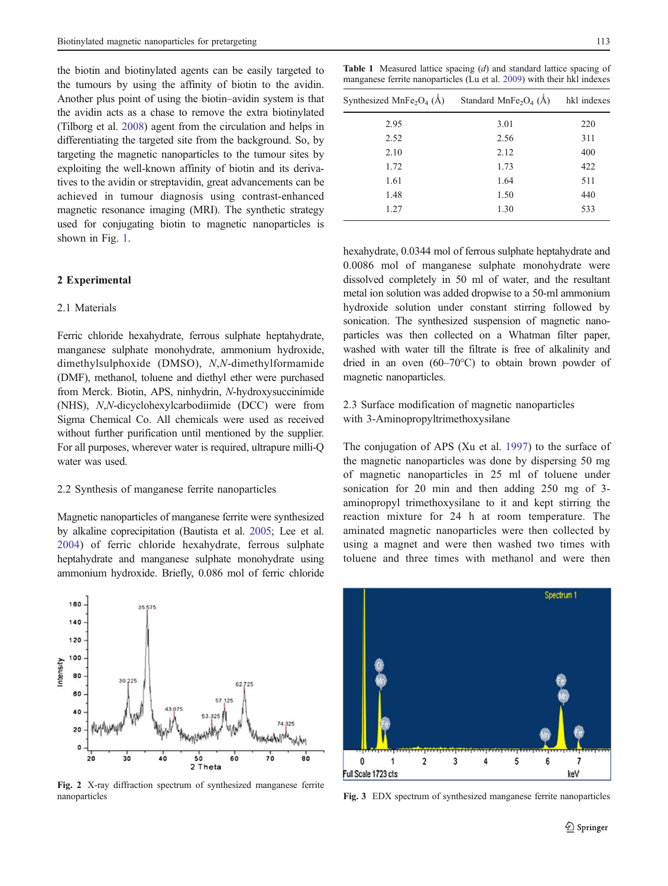<span id="page-2-0"></span>the biotin and biotinylated agents can be easily targeted to the tumours by using the affinity of biotin to the avidin. Another plus point of using the biotin–avidin system is that the avidin acts as a chase to remove the extra biotinylated (Tilborg et al. [2008](#page-9-0)) agent from the circulation and helps in differentiating the targeted site from the background. So, by targeting the magnetic nanoparticles to the tumour sites by exploiting the well-known affinity of biotin and its derivatives to the avidin or streptavidin, great advancements can be achieved in tumour diagnosis using contrast-enhanced magnetic resonance imaging (MRI). The synthetic strategy used for conjugating biotin to magnetic nanoparticles is shown in Fig. [1](#page-1-0).

# 2 Experimental

## 2.1 Materials

 $160$ 

Ferric chloride hexahydrate, ferrous sulphate heptahydrate, manganese sulphate monohydrate, ammonium hydroxide, dimethylsulphoxide (DMSO), N,N-dimethylformamide (DMF), methanol, toluene and diethyl ether were purchased from Merck. Biotin, APS, ninhydrin, N-hydroxysuccinimide (NHS), N,N-dicyclohexylcarbodiimide (DCC) were from Sigma Chemical Co. All chemicals were used as received without further purification until mentioned by the supplier. For all purposes, wherever water is required, ultrapure milli-Q water was used.

#### 2.2 Synthesis of manganese ferrite nanoparticles

**35.575** 

 $30^{1}$ 

 $30$ 

Magnetic nanoparticles of manganese ferrite were synthesized by alkaline coprecipitation (Bautista et al. [2005;](#page-8-0) Lee et al. [2004](#page-9-0)) of ferric chloride hexahydrate, ferrous sulphate heptahydrate and manganese sulphate monohydrate using ammonium hydroxide. Briefly, 0.086 mol of ferric chloride

Fig. 2 X-ray diffraction spectrum of synthesized manganese ferrite nanoparticles **Fig. 3** EDX spectrum of synthesized manganese ferrite nanoparticles

50

2 Theta

 $40$ 

62.725

60

 $\overline{10}$ 

80

**Table 1** Measured lattice spacing  $(d)$  and standard lattice spacing of manganese ferrite nanoparticles (Lu et al. [2009\)](#page-9-0) with their hkl indexes

| Synthesized MnFe <sub>2</sub> O <sub>4</sub> ( $\AA$ ) | Standard MnFe <sub>2</sub> O <sub>4</sub> (Å) | hkl indexes |  |
|--------------------------------------------------------|-----------------------------------------------|-------------|--|
| 2.95                                                   | 3.01                                          | 220         |  |
| 2.52                                                   | 2.56                                          | 311         |  |
| 2.10                                                   | 2.12                                          | 400         |  |
| 1.72                                                   | 1.73                                          | 422         |  |
| 1.61                                                   | 1.64                                          | 511         |  |
| 1.48                                                   | 1.50                                          | 440         |  |
| 1.27                                                   | 1.30                                          | 533         |  |
|                                                        |                                               |             |  |

hexahydrate, 0.0344 mol of ferrous sulphate heptahydrate and 0.0086 mol of manganese sulphate monohydrate were dissolved completely in 50 ml of water, and the resultant metal ion solution was added dropwise to a 50-ml ammonium hydroxide solution under constant stirring followed by sonication. The synthesized suspension of magnetic nanoparticles was then collected on a Whatman filter paper, washed with water till the filtrate is free of alkalinity and dried in an oven (60–70°C) to obtain brown powder of magnetic nanoparticles.

2.3 Surface modification of magnetic nanoparticles with 3-Aminopropyltrimethoxysilane

The conjugation of APS (Xu et al. [1997\)](#page-9-0) to the surface of the magnetic nanoparticles was done by dispersing 50 mg of magnetic nanoparticles in 25 ml of toluene under sonication for 20 min and then adding 250 mg of 3 aminopropyl trimethoxysilane to it and kept stirring the reaction mixture for 24 h at room temperature. The aminated magnetic nanoparticles were then collected by using a magnet and were then washed two times with toluene and three times with methanol and were then

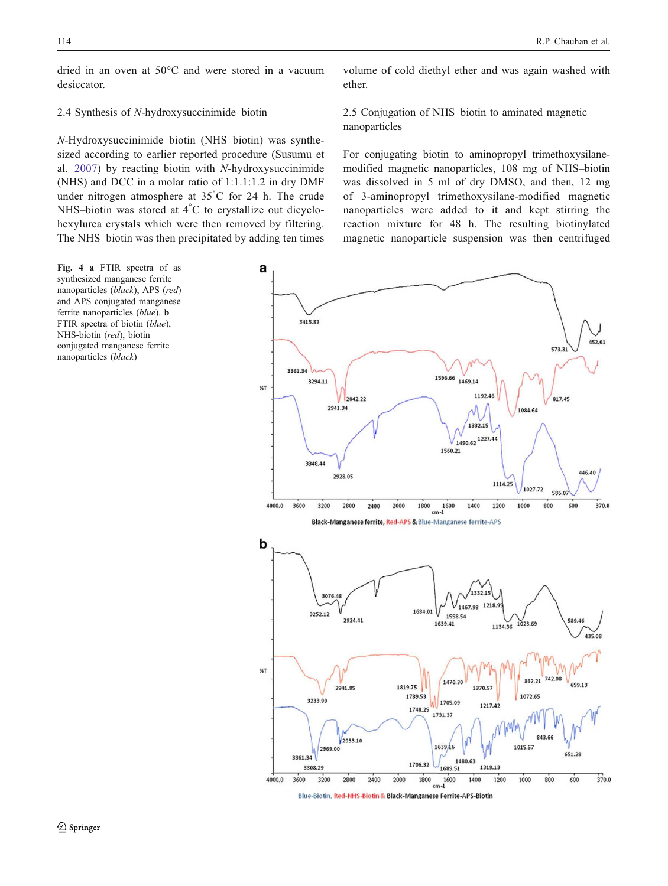<span id="page-3-0"></span>dried in an oven at 50°C and were stored in a vacuum desiccator.

## 2.4 Synthesis of N-hydroxysuccinimide–biotin

N-Hydroxysuccinimide–biotin (NHS–biotin) was synthesized according to earlier reported procedure (Susumu et al. [2007\)](#page-9-0) by reacting biotin with N-hydroxysuccinimide (NHS) and DCC in a molar ratio of 1:1.1:1.2 in dry DMF under nitrogen atmosphere at  $35^{\circ}$ C for 24 h. The crude NHS–biotin was stored at  $4^{\circ}$ C to crystallize out dicyclohexylurea crystals which were then removed by filtering. The NHS–biotin was then precipitated by adding ten times

Fig. 4 a FTIR spectra of as synthesized manganese ferrite nanoparticles (black), APS (red) and APS conjugated manganese ferrite nanoparticles (blue). b FTIR spectra of biotin (blue), NHS-biotin (red), biotin conjugated manganese ferrite nanoparticles (black)

volume of cold diethyl ether and was again washed with ether.

2.5 Conjugation of NHS–biotin to aminated magnetic nanoparticles

For conjugating biotin to aminopropyl trimethoxysilanemodified magnetic nanoparticles, 108 mg of NHS–biotin was dissolved in 5 ml of dry DMSO, and then, 12 mg of 3-aminopropyl trimethoxysilane-modified magnetic nanoparticles were added to it and kept stirring the reaction mixture for 48 h. The resulting biotinylated magnetic nanoparticle suspension was then centrifuged



Blue-Biotin, Red-NHS-Biotin & Black-Manganese Ferrite-APS-Biotin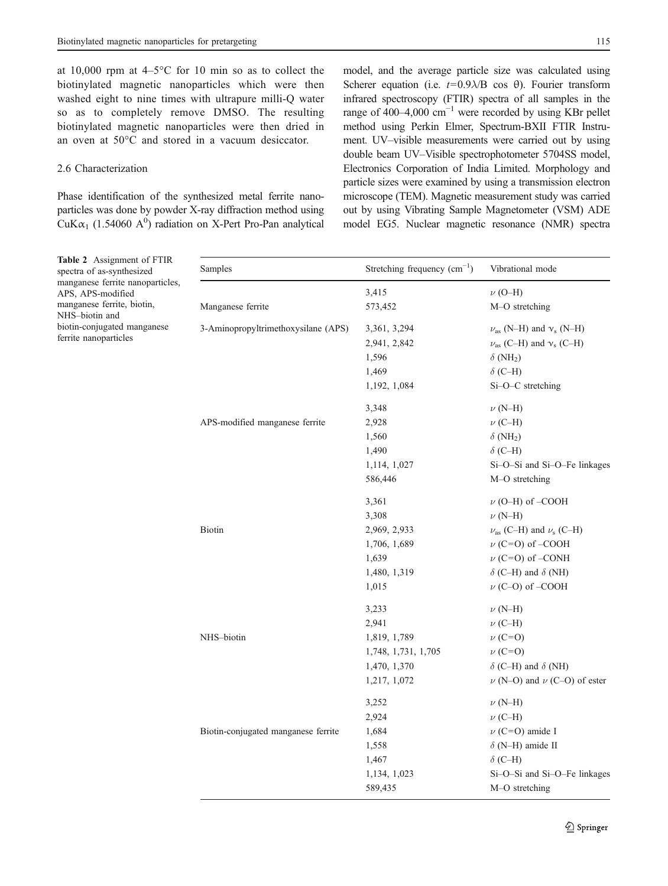<span id="page-4-0"></span>at 10,000 rpm at  $4-5^{\circ}$ C for 10 min so as to collect the biotinylated magnetic nanoparticles which were then washed eight to nine times with ultrapure milli-Q water so as to completely remove DMSO. The resulting biotinylated magnetic nanoparticles were then dried in an oven at 50°C and stored in a vacuum desiccator.

#### 2.6 Characterization

Phase identification of the synthesized metal ferrite nanoparticles was done by powder X-ray diffraction method using CuK $\alpha_1$  (1.54060 A<sup>0</sup>) radiation on X-Pert Pro-Pan analytical

model, and the average particle size was calculated using Scherer equation (i.e.  $t=0.9\lambda/B$  cos  $\theta$ ). Fourier transform infrared spectroscopy (FTIR) spectra of all samples in the range of 400–4,000 cm<sup>-1</sup> were recorded by using KBr pellet method using Perkin Elmer, Spectrum-BXII FTIR Instrument. UV–visible measurements were carried out by using double beam UV–Visible spectrophotometer 5704SS model, Electronics Corporation of India Limited. Morphology and particle sizes were examined by using a transmission electron microscope (TEM). Magnetic measurement study was carried out by using Vibrating Sample Magnetometer (VSM) ADE model EG5. Nuclear magnetic resonance (NMR) spectra

| Table 2 Assignment of FTIR<br>spectra of as-synthesized<br>manganese ferrite nanoparticles,<br>APS, APS-modified<br>manganese ferrite, biotin, | Samples                             | Stretching frequency $(cm^{-1})$ | Vibrational mode                             |
|------------------------------------------------------------------------------------------------------------------------------------------------|-------------------------------------|----------------------------------|----------------------------------------------|
|                                                                                                                                                |                                     | 3,415                            | $\nu$ (O-H)                                  |
|                                                                                                                                                | Manganese ferrite                   | 573,452                          | M-O stretching                               |
| NHS-biotin and<br>biotin-conjugated manganese<br>ferrite nanoparticles                                                                         | 3-Aminopropyltrimethoxysilane (APS) | 3,361, 3,294                     | $\nu_{\rm as}$ (N-H) and $\nu_{\rm s}$ (N-H) |
|                                                                                                                                                |                                     | 2,941, 2,842                     | $\nu_{\rm as}$ (C-H) and $\nu_{\rm s}$ (C-H) |
|                                                                                                                                                |                                     | 1,596                            | $\delta$ (NH <sub>2</sub> )                  |
|                                                                                                                                                |                                     | 1,469                            | $\delta$ (C-H)                               |
|                                                                                                                                                |                                     | 1,192, 1,084                     | $Si-O-C$ stretching                          |
|                                                                                                                                                |                                     | 3,348                            | $\nu$ (N-H)                                  |
|                                                                                                                                                | APS-modified manganese ferrite      | 2,928                            | $\nu$ (C-H)                                  |
|                                                                                                                                                |                                     | 1,560                            | $\delta$ (NH <sub>2</sub> )                  |
|                                                                                                                                                |                                     | 1,490                            | $\delta$ (C-H)                               |
|                                                                                                                                                |                                     | 1,114, 1,027                     | Si-O-Si and Si-O-Fe linkages                 |
|                                                                                                                                                |                                     | 586,446                          | M-O stretching                               |
|                                                                                                                                                |                                     | 3,361                            | $\nu$ (O–H) of –COOH                         |
|                                                                                                                                                |                                     | 3,308                            | $\nu$ (N-H)                                  |
|                                                                                                                                                | Biotin                              | 2,969, 2,933                     | $\nu_{\rm as}$ (C–H) and $\nu_{\rm s}$ (C–H) |
|                                                                                                                                                |                                     | 1,706, 1,689                     | $\nu$ (C=O) of -COOH                         |
|                                                                                                                                                |                                     | 1,639                            | $\nu$ (C=O) of –CONH                         |
|                                                                                                                                                |                                     | 1,480, 1,319                     | $\delta$ (C–H) and $\delta$ (NH)             |
|                                                                                                                                                |                                     | 1,015                            | $\nu$ (C-O) of -COOH                         |
|                                                                                                                                                |                                     | 3,233                            | $\nu$ (N-H)                                  |
|                                                                                                                                                |                                     | 2,941                            | $\nu$ (C-H)                                  |
|                                                                                                                                                | NHS-biotin                          | 1,819, 1,789                     | $\nu$ (C=O)                                  |
|                                                                                                                                                |                                     | 1,748, 1,731, 1,705              | $\nu$ (C=O)                                  |
|                                                                                                                                                |                                     | 1,470, 1,370                     | $\delta$ (C-H) and $\delta$ (NH)             |
|                                                                                                                                                |                                     | 1,217, 1,072                     | $\nu$ (N-O) and $\nu$ (C-O) of ester         |
|                                                                                                                                                |                                     | 3,252                            | $\nu$ (N-H)                                  |
|                                                                                                                                                |                                     | 2,924                            | $\nu$ (C-H)                                  |
|                                                                                                                                                | Biotin-conjugated manganese ferrite | 1,684                            | $\nu$ (C=O) amide I                          |
|                                                                                                                                                |                                     | 1,558                            | $\delta$ (N-H) amide II                      |
|                                                                                                                                                |                                     | 1,467                            | $\delta$ (C-H)                               |
|                                                                                                                                                |                                     | 1,134, 1,023                     | Si-O-Si and Si-O-Fe linkages                 |
|                                                                                                                                                |                                     | 589,435                          | M-O stretching                               |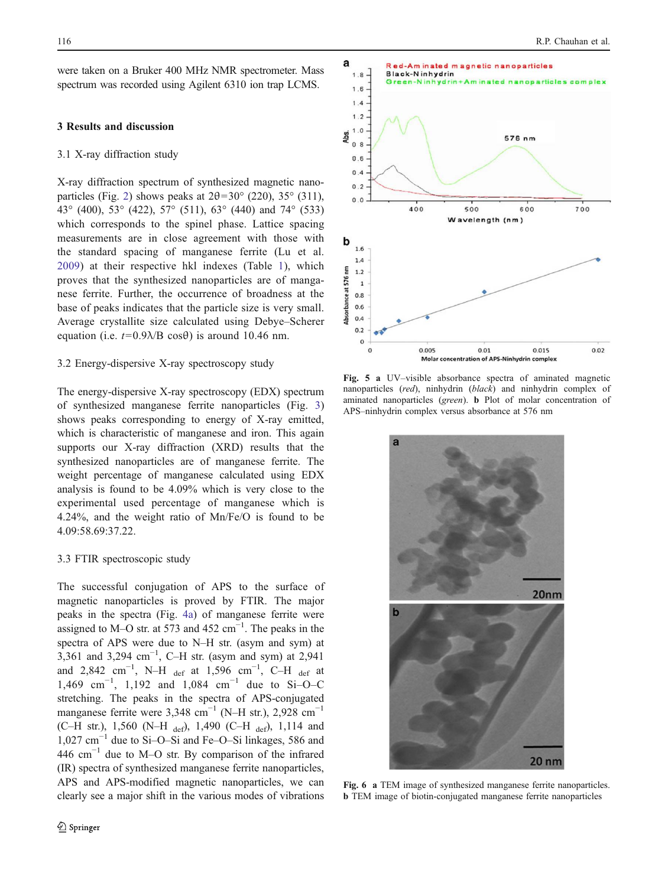<span id="page-5-0"></span>were taken on a Bruker 400 MHz NMR spectrometer. Mass spectrum was recorded using Agilent 6310 ion trap LCMS.

## 3 Results and discussion

## 3.1 X-ray diffraction study

X-ray diffraction spectrum of synthesized magnetic nano-particles (Fig. [2\)](#page-2-0) shows peaks at  $2\theta = 30^{\circ}$  (220), 35° (311), 43° (400), 53° (422), 57° (511), 63° (440) and 74° (533) which corresponds to the spinel phase. Lattice spacing measurements are in close agreement with those with the standard spacing of manganese ferrite (Lu et al. [2009](#page-9-0)) at their respective hkl indexes (Table [1](#page-2-0)), which proves that the synthesized nanoparticles are of manganese ferrite. Further, the occurrence of broadness at the base of peaks indicates that the particle size is very small. Average crystallite size calculated using Debye–Scherer equation (i.e.  $t=0.9\lambda/B \cos\theta$ ) is around 10.46 nm.

# 3.2 Energy-dispersive X-ray spectroscopy study

The energy-dispersive X-ray spectroscopy (EDX) spectrum of synthesized manganese ferrite nanoparticles (Fig. [3\)](#page-2-0) shows peaks corresponding to energy of X-ray emitted, which is characteristic of manganese and iron. This again supports our X-ray diffraction (XRD) results that the synthesized nanoparticles are of manganese ferrite. The weight percentage of manganese calculated using EDX analysis is found to be 4.09% which is very close to the experimental used percentage of manganese which is 4.24%, and the weight ratio of Mn/Fe/O is found to be 4.09:58.69:37.22.

# 3.3 FTIR spectroscopic study

The successful conjugation of APS to the surface of magnetic nanoparticles is proved by FTIR. The major peaks in the spectra (Fig. [4a](#page-3-0)) of manganese ferrite were assigned to M–O str. at 573 and 452 cm $^{-1}$ . The peaks in the spectra of APS were due to N–H str. (asym and sym) at 3,361 and 3,294 cm<sup>-1</sup>, C-H str. (asym and sym) at 2,941 and 2,842 cm<sup>-1</sup>, N–H <sub>def</sub> at 1,596 cm<sup>-1</sup>, C–H <sub>def</sub> at 1,469 cm<sup>-1</sup>, 1,192 and 1,084 cm<sup>-1</sup> due to Si-O-C stretching. The peaks in the spectra of APS-conjugated manganese ferrite were 3,348 cm<sup>-1</sup> (N–H str.), 2,928 cm<sup>-1</sup> (C–H str.), 1,560 (N–H def), 1,490 (C–H def), 1,114 and 1,027 cm−<sup>1</sup> due to Si–O–Si and Fe–O–Si linkages, 586 and 446 cm−<sup>1</sup> due to M–O str. By comparison of the infrared (IR) spectra of synthesized manganese ferrite nanoparticles, APS and APS-modified magnetic nanoparticles, we can clearly see a major shift in the various modes of vibrations



Fig. 5 a UV–visible absorbance spectra of aminated magnetic nanoparticles (red), ninhydrin (black) and ninhydrin complex of aminated nanoparticles (green). b Plot of molar concentration of APS–ninhydrin complex versus absorbance at 576 nm



Fig. 6 a TEM image of synthesized manganese ferrite nanoparticles. b TEM image of biotin-conjugated manganese ferrite nanoparticles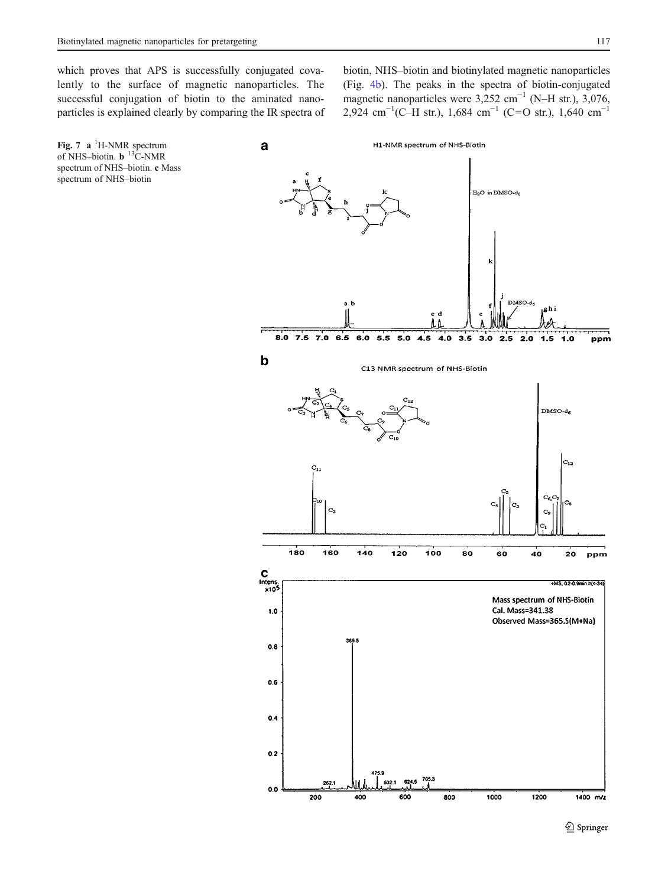<span id="page-6-0"></span>which proves that APS is successfully conjugated covalently to the surface of magnetic nanoparticles. The successful conjugation of biotin to the aminated nanoparticles is explained clearly by comparing the IR spectra of biotin, NHS–biotin and biotinylated magnetic nanoparticles (Fig. [4b](#page-3-0)). The peaks in the spectra of biotin-conjugated magnetic nanoparticles were 3,252 cm−<sup>1</sup> (N–H str.), 3,076, 2,924 cm<sup>-1</sup>(C-H str.), 1,684 cm<sup>-1</sup> (C=O str.), 1,640 cm<sup>-1</sup>

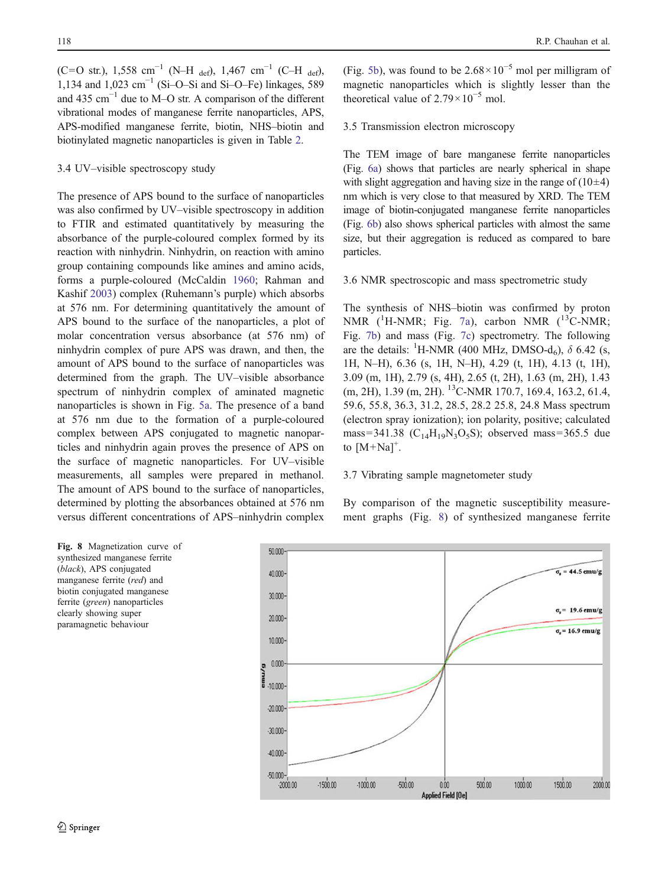<span id="page-7-0"></span>(C=O str.), 1,558 cm<sup>-1</sup> (N–H <sub>def</sub>), 1,467 cm<sup>-1</sup> (C–H <sub>def</sub>), 1,134 and 1,023 cm−<sup>1</sup> (Si–O–Si and Si–O–Fe) linkages, 589 and 435 cm−<sup>1</sup> due to M–O str. A comparison of the different vibrational modes of manganese ferrite nanoparticles, APS, APS-modified manganese ferrite, biotin, NHS–biotin and biotinylated magnetic nanoparticles is given in Table [2](#page-4-0).

#### 3.4 UV–visible spectroscopy study

The presence of APS bound to the surface of nanoparticles was also confirmed by UV–visible spectroscopy in addition to FTIR and estimated quantitatively by measuring the absorbance of the purple-coloured complex formed by its reaction with ninhydrin. Ninhydrin, on reaction with amino group containing compounds like amines and amino acids, forms a purple-coloured (McCaldin [1960](#page-9-0); Rahman and Kashif [2003](#page-9-0)) complex (Ruhemann's purple) which absorbs at 576 nm. For determining quantitatively the amount of APS bound to the surface of the nanoparticles, a plot of molar concentration versus absorbance (at 576 nm) of ninhydrin complex of pure APS was drawn, and then, the amount of APS bound to the surface of nanoparticles was determined from the graph. The UV–visible absorbance spectrum of ninhydrin complex of aminated magnetic nanoparticles is shown in Fig. [5a.](#page-5-0) The presence of a band at 576 nm due to the formation of a purple-coloured complex between APS conjugated to magnetic nanoparticles and ninhydrin again proves the presence of APS on the surface of magnetic nanoparticles. For UV–visible measurements, all samples were prepared in methanol. The amount of APS bound to the surface of nanoparticles, determined by plotting the absorbances obtained at 576 nm versus different concentrations of APS–ninhydrin complex

(Fig. [5b](#page-5-0)), was found to be  $2.68 \times 10^{-5}$  mol per milligram of magnetic nanoparticles which is slightly lesser than the theoretical value of  $2.79 \times 10^{-5}$  mol.

# 3.5 Transmission electron microscopy

The TEM image of bare manganese ferrite nanoparticles (Fig. [6a](#page-5-0)) shows that particles are nearly spherical in shape with slight aggregation and having size in the range of  $(10\pm4)$ nm which is very close to that measured by XRD. The TEM image of biotin-conjugated manganese ferrite nanoparticles (Fig. [6b](#page-5-0)) also shows spherical particles with almost the same size, but their aggregation is reduced as compared to bare particles.

#### 3.6 NMR spectroscopic and mass spectrometric study

The synthesis of NHS–biotin was confirmed by proton NMR  $(^1H\text{-NMR}$ ; Fig. [7a\)](#page-6-0), carbon NMR  $(^{13}C\text{-NMR}$ ; Fig. [7b](#page-6-0)) and mass (Fig. [7c](#page-6-0)) spectrometry. The following are the details: <sup>1</sup>H-NMR (400 MHz, DMSO-d<sub>6</sub>),  $\delta$  6.42 (s, 1H, N–H), 6.36 (s, 1H, N–H), 4.29 (t, 1H), 4.13 (t, 1H), 3.09 (m, 1H), 2.79 (s, 4H), 2.65 (t, 2H), 1.63 (m, 2H), 1.43 (m, 2H), 1.39 (m, 2H). <sup>13</sup>C-NMR 170.7, 169.4, 163.2, 61.4, 59.6, 55.8, 36.3, 31.2, 28.5, 28.2 25.8, 24.8 Mass spectrum (electron spray ionization); ion polarity, positive; calculated mass=341.38 ( $C_{14}H_{19}N_3O_5S$ ); observed mass=365.5 due to  $[M+Na]^{+}$ .

# 3.7 Vibrating sample magnetometer study

By comparison of the magnetic susceptibility measurement graphs (Fig. 8) of synthesized manganese ferrite

Fig. 8 Magnetization curve of synthesized manganese ferrite (black), APS conjugated manganese ferrite (red) and biotin conjugated manganese ferrite (green) nanoparticles clearly showing super paramagnetic behaviour

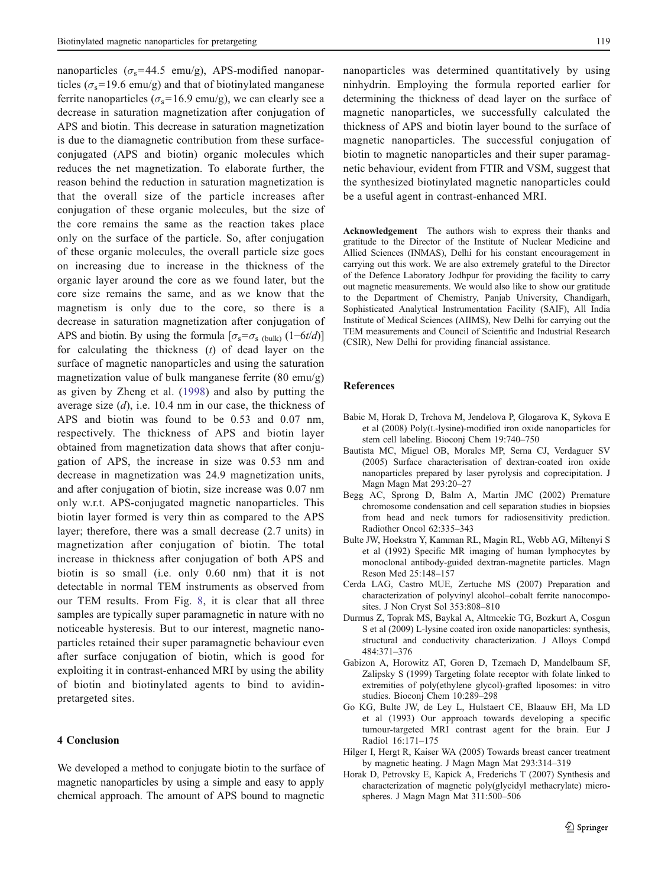<span id="page-8-0"></span>nanoparticles ( $\sigma_s$ =44.5 emu/g), APS-modified nanoparticles ( $\sigma_s$ =19.6 emu/g) and that of biotinylated manganese ferrite nanoparticles ( $\sigma_s$ =16.9 emu/g), we can clearly see a decrease in saturation magnetization after conjugation of APS and biotin. This decrease in saturation magnetization is due to the diamagnetic contribution from these surfaceconjugated (APS and biotin) organic molecules which reduces the net magnetization. To elaborate further, the reason behind the reduction in saturation magnetization is that the overall size of the particle increases after conjugation of these organic molecules, but the size of the core remains the same as the reaction takes place only on the surface of the particle. So, after conjugation of these organic molecules, the overall particle size goes on increasing due to increase in the thickness of the organic layer around the core as we found later, but the core size remains the same, and as we know that the magnetism is only due to the core, so there is a decrease in saturation magnetization after conjugation of APS and biotin. By using the formula  $[\sigma_s = \sigma_{s_{\text{bulk}}}(1 - 6t/d)]$ for calculating the thickness  $(t)$  of dead layer on the surface of magnetic nanoparticles and using the saturation magnetization value of bulk manganese ferrite (80 emu/g) as given by Zheng et al. ([1998](#page-9-0)) and also by putting the average size  $(d)$ , i.e. 10.4 nm in our case, the thickness of APS and biotin was found to be 0.53 and 0.07 nm, respectively. The thickness of APS and biotin layer obtained from magnetization data shows that after conjugation of APS, the increase in size was 0.53 nm and decrease in magnetization was 24.9 magnetization units, and after conjugation of biotin, size increase was 0.07 nm only w.r.t. APS-conjugated magnetic nanoparticles. This biotin layer formed is very thin as compared to the APS layer; therefore, there was a small decrease (2.7 units) in magnetization after conjugation of biotin. The total increase in thickness after conjugation of both APS and biotin is so small (i.e. only 0.60 nm) that it is not detectable in normal TEM instruments as observed from our TEM results. From Fig. [8](#page-7-0), it is clear that all three samples are typically super paramagnetic in nature with no noticeable hysteresis. But to our interest, magnetic nanoparticles retained their super paramagnetic behaviour even after surface conjugation of biotin, which is good for exploiting it in contrast-enhanced MRI by using the ability of biotin and biotinylated agents to bind to avidinpretargeted sites.

# 4 Conclusion

We developed a method to conjugate biotin to the surface of magnetic nanoparticles by using a simple and easy to apply chemical approach. The amount of APS bound to magnetic

nanoparticles was determined quantitatively by using ninhydrin. Employing the formula reported earlier for determining the thickness of dead layer on the surface of magnetic nanoparticles, we successfully calculated the thickness of APS and biotin layer bound to the surface of magnetic nanoparticles. The successful conjugation of biotin to magnetic nanoparticles and their super paramagnetic behaviour, evident from FTIR and VSM, suggest that the synthesized biotinylated magnetic nanoparticles could be a useful agent in contrast-enhanced MRI.

Acknowledgement The authors wish to express their thanks and gratitude to the Director of the Institute of Nuclear Medicine and Allied Sciences (INMAS), Delhi for his constant encouragement in carrying out this work. We are also extremely grateful to the Director of the Defence Laboratory Jodhpur for providing the facility to carry out magnetic measurements. We would also like to show our gratitude to the Department of Chemistry, Panjab University, Chandigarh, Sophisticated Analytical Instrumentation Facility (SAIF), All India Institute of Medical Sciences (AIIMS), New Delhi for carrying out the TEM measurements and Council of Scientific and Industrial Research (CSIR), New Delhi for providing financial assistance.

#### References

- Babic M, Horak D, Trchova M, Jendelova P, Glogarova K, Sykova E et al (2008) Poly(L-lysine)-modified iron oxide nanoparticles for stem cell labeling. Bioconj Chem 19:740–750
- Bautista MC, Miguel OB, Morales MP, Serna CJ, Verdaguer SV (2005) Surface characterisation of dextran-coated iron oxide nanoparticles prepared by laser pyrolysis and coprecipitation. J Magn Magn Mat 293:20–27
- Begg AC, Sprong D, Balm A, Martin JMC (2002) Premature chromosome condensation and cell separation studies in biopsies from head and neck tumors for radiosensitivity prediction. Radiother Oncol 62:335–343
- Bulte JW, Hoekstra Y, Kamman RL, Magin RL, Webb AG, Miltenyi S et al (1992) Specific MR imaging of human lymphocytes by monoclonal antibody-guided dextran-magnetite particles. Magn Reson Med 25:148–157
- Cerda LAG, Castro MUE, Zertuche MS (2007) Preparation and characterization of polyvinyl alcohol–cobalt ferrite nanocomposites. J Non Cryst Sol 353:808–810
- Durmus Z, Toprak MS, Baykal A, Altmcekic TG, Bozkurt A, Cosgun S et al (2009) L-lysine coated iron oxide nanoparticles: synthesis, structural and conductivity characterization. J Alloys Compd 484:371–376
- Gabizon A, Horowitz AT, Goren D, Tzemach D, Mandelbaum SF, Zalipsky S (1999) Targeting folate receptor with folate linked to extremities of poly(ethylene glycol)-grafted liposomes: in vitro studies. Bioconj Chem 10:289–298
- Go KG, Bulte JW, de Ley L, Hulstaert CE, Blaauw EH, Ma LD et al (1993) Our approach towards developing a specific tumour-targeted MRI contrast agent for the brain. Eur J Radiol 16:171–175
- Hilger I, Hergt R, Kaiser WA (2005) Towards breast cancer treatment by magnetic heating. J Magn Magn Mat 293:314–319
- Horak D, Petrovsky E, Kapick A, Frederichs T (2007) Synthesis and characterization of magnetic poly(glycidyl methacrylate) microspheres. J Magn Magn Mat 311:500–506